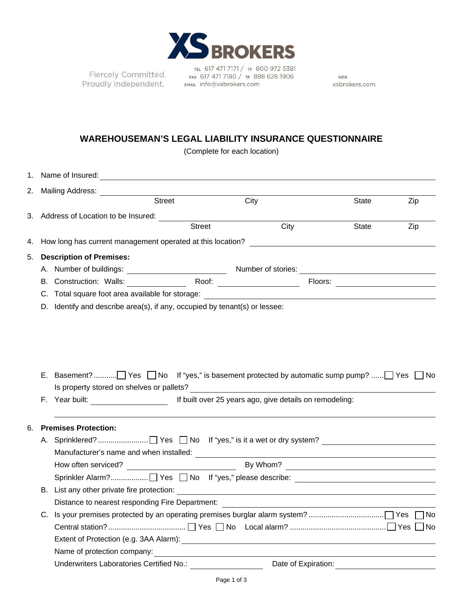

Fiercely Committed. Proudly Independent.

TEL 617 471 7171 / TF 800 972 5381 FAX 617 471 7180 / TF 888 628 1906 EMAIL info@xsbrokers.com

WEB xsbrokers.com

## **WAREHOUSEMAN'S LEGAL LIABILITY INSURANCE QUESTIONNAIRE**

(Complete for each location)

|                                                                        |                                                 | 2. Mailing Address:                                                                                           |               |      |                                  |              |                                    |  |  |  |
|------------------------------------------------------------------------|-------------------------------------------------|---------------------------------------------------------------------------------------------------------------|---------------|------|----------------------------------|--------------|------------------------------------|--|--|--|
|                                                                        |                                                 |                                                                                                               | <b>Street</b> | City |                                  | State        | Zip                                |  |  |  |
|                                                                        |                                                 | 3. Address of Location to be Insured: Sample 2014 and 2016                                                    |               |      |                                  |              |                                    |  |  |  |
|                                                                        |                                                 |                                                                                                               | <b>Street</b> | City |                                  | <b>State</b> | Zip                                |  |  |  |
| 4.                                                                     |                                                 | How long has current management operated at this location? Letter that the state of the state of the state of |               |      |                                  |              |                                    |  |  |  |
| 5.                                                                     | <b>Description of Premises:</b>                 |                                                                                                               |               |      |                                  |              |                                    |  |  |  |
|                                                                        |                                                 |                                                                                                               |               |      |                                  |              |                                    |  |  |  |
|                                                                        |                                                 |                                                                                                               |               |      | Floors: ________________________ |              |                                    |  |  |  |
|                                                                        |                                                 |                                                                                                               |               |      |                                  |              |                                    |  |  |  |
|                                                                        |                                                 | D. Identify and describe area(s), if any, occupied by tenant(s) or lessee:                                    |               |      |                                  |              |                                    |  |  |  |
|                                                                        |                                                 |                                                                                                               |               |      |                                  |              |                                    |  |  |  |
|                                                                        |                                                 |                                                                                                               |               |      |                                  |              |                                    |  |  |  |
|                                                                        |                                                 |                                                                                                               |               |      |                                  |              |                                    |  |  |  |
|                                                                        |                                                 |                                                                                                               |               |      |                                  |              |                                    |  |  |  |
|                                                                        |                                                 |                                                                                                               |               |      |                                  |              |                                    |  |  |  |
|                                                                        |                                                 |                                                                                                               |               |      |                                  |              |                                    |  |  |  |
|                                                                        |                                                 |                                                                                                               |               |      |                                  |              |                                    |  |  |  |
| F. Year built: If built over 25 years ago, give details on remodeling: |                                                 |                                                                                                               |               |      |                                  |              |                                    |  |  |  |
|                                                                        |                                                 |                                                                                                               |               |      |                                  |              |                                    |  |  |  |
| 6.                                                                     |                                                 | <b>Premises Protection:</b>                                                                                   |               |      |                                  |              |                                    |  |  |  |
|                                                                        |                                                 |                                                                                                               |               |      |                                  |              |                                    |  |  |  |
|                                                                        |                                                 |                                                                                                               |               |      |                                  |              |                                    |  |  |  |
|                                                                        |                                                 |                                                                                                               |               |      |                                  |              |                                    |  |  |  |
|                                                                        |                                                 |                                                                                                               |               |      |                                  |              |                                    |  |  |  |
|                                                                        |                                                 |                                                                                                               |               |      |                                  |              |                                    |  |  |  |
|                                                                        |                                                 |                                                                                                               |               |      |                                  |              |                                    |  |  |  |
|                                                                        | Distance to nearest responding Fire Department: |                                                                                                               |               |      |                                  |              |                                    |  |  |  |
|                                                                        |                                                 |                                                                                                               |               |      |                                  |              | ∏No<br>$\overline{\phantom{a}}$ No |  |  |  |
|                                                                        |                                                 |                                                                                                               |               |      |                                  |              |                                    |  |  |  |
|                                                                        |                                                 |                                                                                                               |               |      |                                  |              |                                    |  |  |  |
|                                                                        |                                                 | Underwriters Laboratories Certified No.:                                                                      |               |      | Date of Expiration:              |              |                                    |  |  |  |
|                                                                        |                                                 |                                                                                                               |               |      |                                  |              |                                    |  |  |  |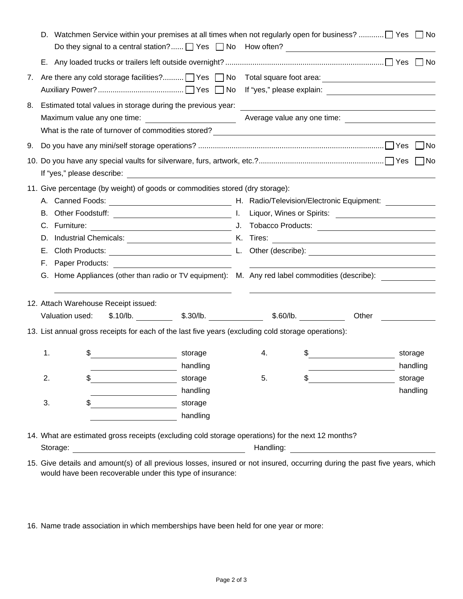| Valuation used:<br>13. List annual gross receipts for each of the last five years (excluding cold storage operations):<br>1.<br>\$<br>2.<br>\$<br>3.<br>14. What are estimated gross receipts (excluding cold storage operations) for the next 12 months? | $$.10/lb.$ $$.30/lb.$ $$.30/lb.$ $$.60/lb.$<br>storage | storage<br>handling<br>handling<br>storage<br>handling | 4.<br>5.                                                                              | \$<br>\$ | Other                                                                         | storage<br>storage | handling<br>handling                                                                                                                                                                                                                                                                                                                                                                                                                                                                                        |
|-----------------------------------------------------------------------------------------------------------------------------------------------------------------------------------------------------------------------------------------------------------|--------------------------------------------------------|--------------------------------------------------------|---------------------------------------------------------------------------------------|----------|-------------------------------------------------------------------------------|--------------------|-------------------------------------------------------------------------------------------------------------------------------------------------------------------------------------------------------------------------------------------------------------------------------------------------------------------------------------------------------------------------------------------------------------------------------------------------------------------------------------------------------------|
|                                                                                                                                                                                                                                                           |                                                        |                                                        |                                                                                       |          |                                                                               |                    |                                                                                                                                                                                                                                                                                                                                                                                                                                                                                                             |
|                                                                                                                                                                                                                                                           |                                                        |                                                        |                                                                                       |          |                                                                               |                    |                                                                                                                                                                                                                                                                                                                                                                                                                                                                                                             |
|                                                                                                                                                                                                                                                           |                                                        |                                                        |                                                                                       |          |                                                                               |                    |                                                                                                                                                                                                                                                                                                                                                                                                                                                                                                             |
|                                                                                                                                                                                                                                                           |                                                        |                                                        |                                                                                       |          |                                                                               |                    |                                                                                                                                                                                                                                                                                                                                                                                                                                                                                                             |
|                                                                                                                                                                                                                                                           |                                                        |                                                        |                                                                                       |          |                                                                               |                    |                                                                                                                                                                                                                                                                                                                                                                                                                                                                                                             |
|                                                                                                                                                                                                                                                           |                                                        |                                                        |                                                                                       |          |                                                                               |                    |                                                                                                                                                                                                                                                                                                                                                                                                                                                                                                             |
|                                                                                                                                                                                                                                                           |                                                        |                                                        |                                                                                       |          |                                                                               |                    |                                                                                                                                                                                                                                                                                                                                                                                                                                                                                                             |
|                                                                                                                                                                                                                                                           |                                                        |                                                        |                                                                                       |          |                                                                               |                    |                                                                                                                                                                                                                                                                                                                                                                                                                                                                                                             |
|                                                                                                                                                                                                                                                           |                                                        |                                                        |                                                                                       |          |                                                                               |                    |                                                                                                                                                                                                                                                                                                                                                                                                                                                                                                             |
|                                                                                                                                                                                                                                                           |                                                        |                                                        |                                                                                       |          |                                                                               |                    |                                                                                                                                                                                                                                                                                                                                                                                                                                                                                                             |
|                                                                                                                                                                                                                                                           |                                                        |                                                        |                                                                                       |          |                                                                               |                    |                                                                                                                                                                                                                                                                                                                                                                                                                                                                                                             |
| F. Paper Products:                                                                                                                                                                                                                                        |                                                        |                                                        |                                                                                       |          |                                                                               |                    |                                                                                                                                                                                                                                                                                                                                                                                                                                                                                                             |
|                                                                                                                                                                                                                                                           |                                                        |                                                        |                                                                                       |          |                                                                               |                    |                                                                                                                                                                                                                                                                                                                                                                                                                                                                                                             |
|                                                                                                                                                                                                                                                           |                                                        |                                                        |                                                                                       |          |                                                                               |                    |                                                                                                                                                                                                                                                                                                                                                                                                                                                                                                             |
|                                                                                                                                                                                                                                                           |                                                        |                                                        |                                                                                       |          |                                                                               |                    |                                                                                                                                                                                                                                                                                                                                                                                                                                                                                                             |
|                                                                                                                                                                                                                                                           |                                                        |                                                        |                                                                                       |          |                                                                               |                    |                                                                                                                                                                                                                                                                                                                                                                                                                                                                                                             |
|                                                                                                                                                                                                                                                           |                                                        |                                                        |                                                                                       |          |                                                                               |                    |                                                                                                                                                                                                                                                                                                                                                                                                                                                                                                             |
|                                                                                                                                                                                                                                                           |                                                        |                                                        |                                                                                       |          |                                                                               |                    |                                                                                                                                                                                                                                                                                                                                                                                                                                                                                                             |
|                                                                                                                                                                                                                                                           |                                                        |                                                        |                                                                                       |          |                                                                               |                    |                                                                                                                                                                                                                                                                                                                                                                                                                                                                                                             |
|                                                                                                                                                                                                                                                           |                                                        |                                                        |                                                                                       |          |                                                                               |                    |                                                                                                                                                                                                                                                                                                                                                                                                                                                                                                             |
|                                                                                                                                                                                                                                                           |                                                        |                                                        |                                                                                       |          |                                                                               |                    |                                                                                                                                                                                                                                                                                                                                                                                                                                                                                                             |
|                                                                                                                                                                                                                                                           |                                                        |                                                        |                                                                                       |          |                                                                               |                    |                                                                                                                                                                                                                                                                                                                                                                                                                                                                                                             |
|                                                                                                                                                                                                                                                           |                                                        |                                                        |                                                                                       |          |                                                                               |                    |                                                                                                                                                                                                                                                                                                                                                                                                                                                                                                             |
|                                                                                                                                                                                                                                                           |                                                        |                                                        |                                                                                       |          |                                                                               |                    |                                                                                                                                                                                                                                                                                                                                                                                                                                                                                                             |
|                                                                                                                                                                                                                                                           |                                                        |                                                        |                                                                                       |          |                                                                               |                    |                                                                                                                                                                                                                                                                                                                                                                                                                                                                                                             |
|                                                                                                                                                                                                                                                           |                                                        |                                                        |                                                                                       |          |                                                                               |                    |                                                                                                                                                                                                                                                                                                                                                                                                                                                                                                             |
|                                                                                                                                                                                                                                                           |                                                        |                                                        |                                                                                       |          |                                                                               |                    |                                                                                                                                                                                                                                                                                                                                                                                                                                                                                                             |
|                                                                                                                                                                                                                                                           |                                                        |                                                        | <u> 1980 - Andrea Andrew Maria (h. 1980).</u><br>12. Attach Warehouse Receipt issued: |          | 11. Give percentage (by weight) of goods or commodities stored (dry storage): |                    | D. Watchmen Service within your premises at all times when not regularly open for business? $\Box$ Yes $\Box$ No<br>Are there any cold storage facilities? 7Yes 7No 7otal square foot area: 1980 1991 1992 1994<br>Estimated total values in storage during the previous year:<br><u> and the contract of the contract of the contract of the contract of the contract of the contract of the contra</u><br>G. Home Appliances (other than radio or TV equipment): M. Any red label commodities (describe): |

15. Give details and amount(s) of all previous losses, insured or not insured, occurring during the past five years, which would have been recoverable under this type of insurance:

16. Name trade association in which memberships have been held for one year or more: